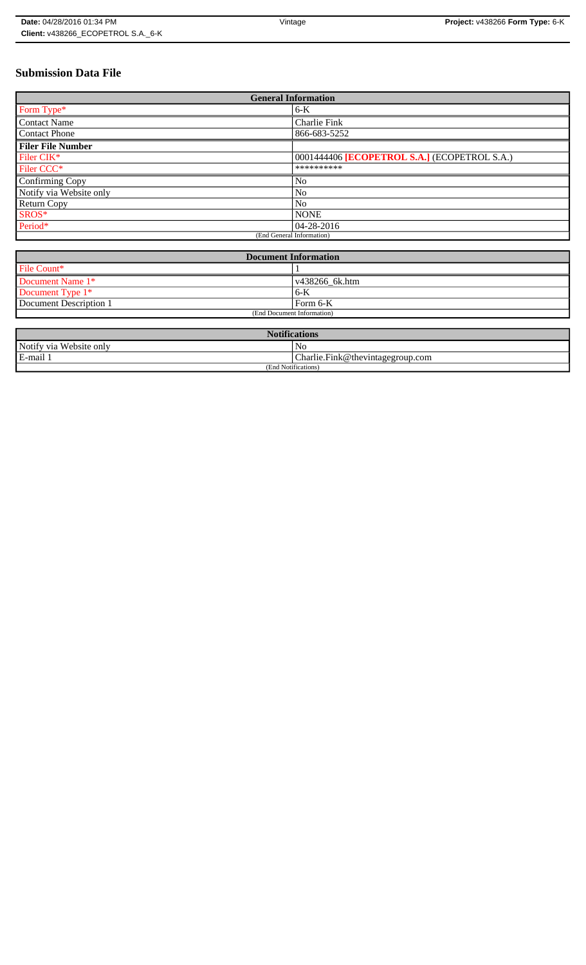# **Submission Data File**

| <b>General Information</b> |                                              |
|----------------------------|----------------------------------------------|
| Form Type*                 | $6-K$                                        |
| <b>Contact Name</b>        | <b>Charlie Fink</b>                          |
| <b>Contact Phone</b>       | 866-683-5252                                 |
| <b>Filer File Number</b>   |                                              |
| Filer CIK*                 | 0001444406 [ECOPETROL S.A.] (ECOPETROL S.A.) |
| Filer CCC <sup>*</sup>     | **********                                   |
| Confirming Copy            | No                                           |
| Notify via Website only    | No                                           |
| Return Copy                | N <sub>o</sub>                               |
| SROS*                      | <b>NONE</b>                                  |
| Period*                    | $04 - 28 - 2016$                             |
| (End General Information)  |                                              |

| <b>Document Information</b> |                        |
|-----------------------------|------------------------|
| File Count*                 |                        |
| Document Name 1*            | $\sqrt{438266}$ 6k.htm |
| Document Type 1*            | 6-K                    |
| Document Description 1      | Form 6-K               |
| (End Document Information)  |                        |

| <b>Notifications</b>        |                                  |
|-----------------------------|----------------------------------|
| Notify via<br>∟Website onlv | No                               |
| 3-mail '<br>$\mathbf{r}$    | Charlie.Fink@thevintagegroup.com |
| (End Notifications)         |                                  |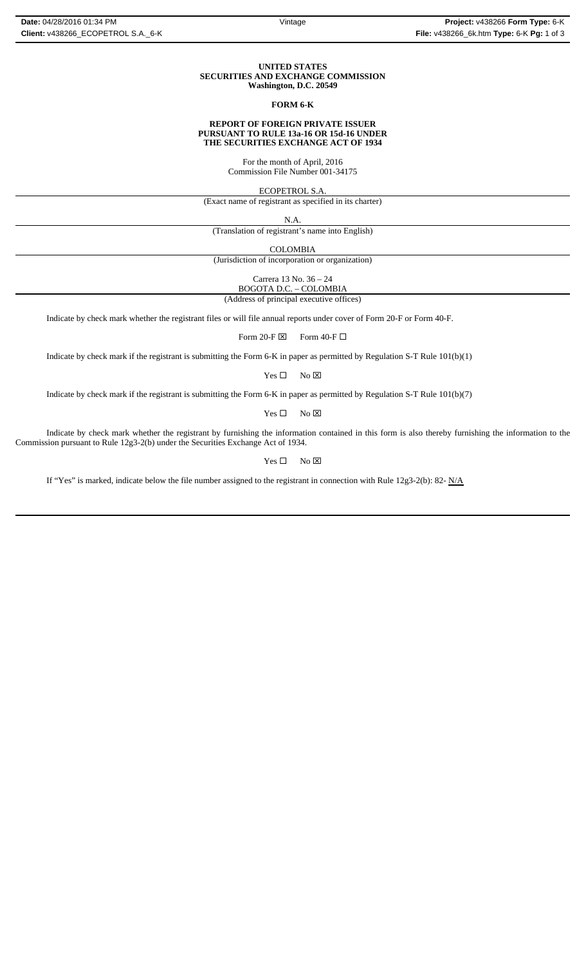## **UNITED STATES SECURITIES AND EXCHANGE COMMISSION Washington, D.C. 20549**

# **FORM 6-K**

### **REPORT OF FOREIGN PRIVATE ISSUER PURSUANT TO RULE 13a-16 OR 15d-16 UNDER THE SECURITIES EXCHANGE ACT OF 1934**

For the month of April, 2016 Commission File Number 001-34175

ECOPETROL S.A.

(Exact name of registrant as specified in its charter)

N.A.

(Translation of registrant's name into English)

COLOMBIA

(Jurisdiction of incorporation or organization)

Carrera 13 No. 36 – 24

BOGOTA D.C. – COLOMBIA (Address of principal executive offices)

Indicate by check mark whether the registrant files or will file annual reports under cover of Form 20-F or Form 40-F.

Form 20-F  $\boxtimes$  Form 40-F  $\Box$ 

Indicate by check mark if the registrant is submitting the Form 6-K in paper as permitted by Regulation S-T Rule 101(b)(1)

 $Yes \Box$  No  $\boxtimes$ 

Indicate by check mark if the registrant is submitting the Form 6-K in paper as permitted by Regulation S-T Rule 101(b)(7)

 $Yes \Box$  No  $\boxtimes$ 

Indicate by check mark whether the registrant by furnishing the information contained in this form is also thereby furnishing the information to the Commission pursuant to Rule 12g3-2(b) under the Securities Exchange Act of 1934.

 $Yes \Box$  No  $\boxtimes$ 

If "Yes" is marked, indicate below the file number assigned to the registrant in connection with Rule 12g3-2(b): 82-  $N/A$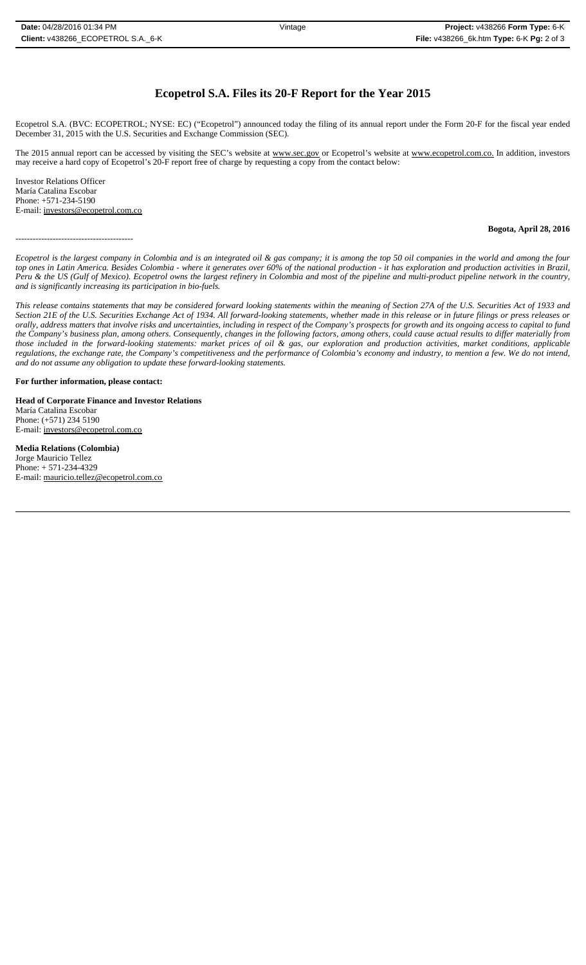# **Ecopetrol S.A. Files its 20-F Report for the Year 2015**

Ecopetrol S.A. (BVC: ECOPETROL; NYSE: EC) ("Ecopetrol") announced today the filing of its annual report under the Form 20-F for the fiscal year ended December 31, 2015 with the U.S. Securities and Exchange Commission (SEC).

The 2015 annual report can be accessed by visiting the SEC's website at www.sec.gov or Ecopetrol's website at www.ecopetrol.com.co. In addition, investors may receive a hard copy of Ecopetrol's 20-F report free of charge by requesting a copy from the contact below:

Investor Relations Officer María Catalina Escobar Phone: +571-234-5190 E-mail: investors@ecopetrol.com.co

#### -----------------------------------------

## **Bogota, April 28, 2016**

*Ecopetrol is the largest company in Colombia and is an integrated oil & gas company; it is among the top 50 oil companies in the world and among the four top ones in Latin America. Besides Colombia - where it generates over 60% of the national production - it has exploration and production activities in Brazil, Peru & the US (Gulf of Mexico). Ecopetrol owns the largest refinery in Colombia and most of the pipeline and multi-product pipeline network in the country, and is significantly increasing its participation in bio-fuels.*

*This release contains statements that may be considered forward looking statements within the meaning of Section 27A of the U.S. Securities Act of 1933 and Section 21E of the U.S. Securities Exchange Act of 1934. All forward-looking statements, whether made in this release or in future filings or press releases or* orally, address matters that involve risks and uncertainties, including in respect of the Company's prospects for growth and its ongoing access to capital to fund *the Company's business plan, among others. Consequently, changes in the following factors, among others, could cause actual results to differ materially from those included in the forward-looking statements: market prices of oil & gas, our exploration and production activities, market conditions, applicable regulations, the exchange rate, the Company's competitiveness and the performance of Colombia's economy and industry, to mention a few. We do not intend, and do not assume any obligation to update these forward-looking statements.*

**For further information, please contact:** 

**Head of Corporate Finance and Investor Relations** María Catalina Escobar Phone: (+571) 234 5190 E-mail: investors@ecopetrol.com.co

**Media Relations (Colombia)**  Jorge Mauricio Tellez Phone: + 571-234-4329 E-mail: mauricio.tellez@ecopetrol.com.co